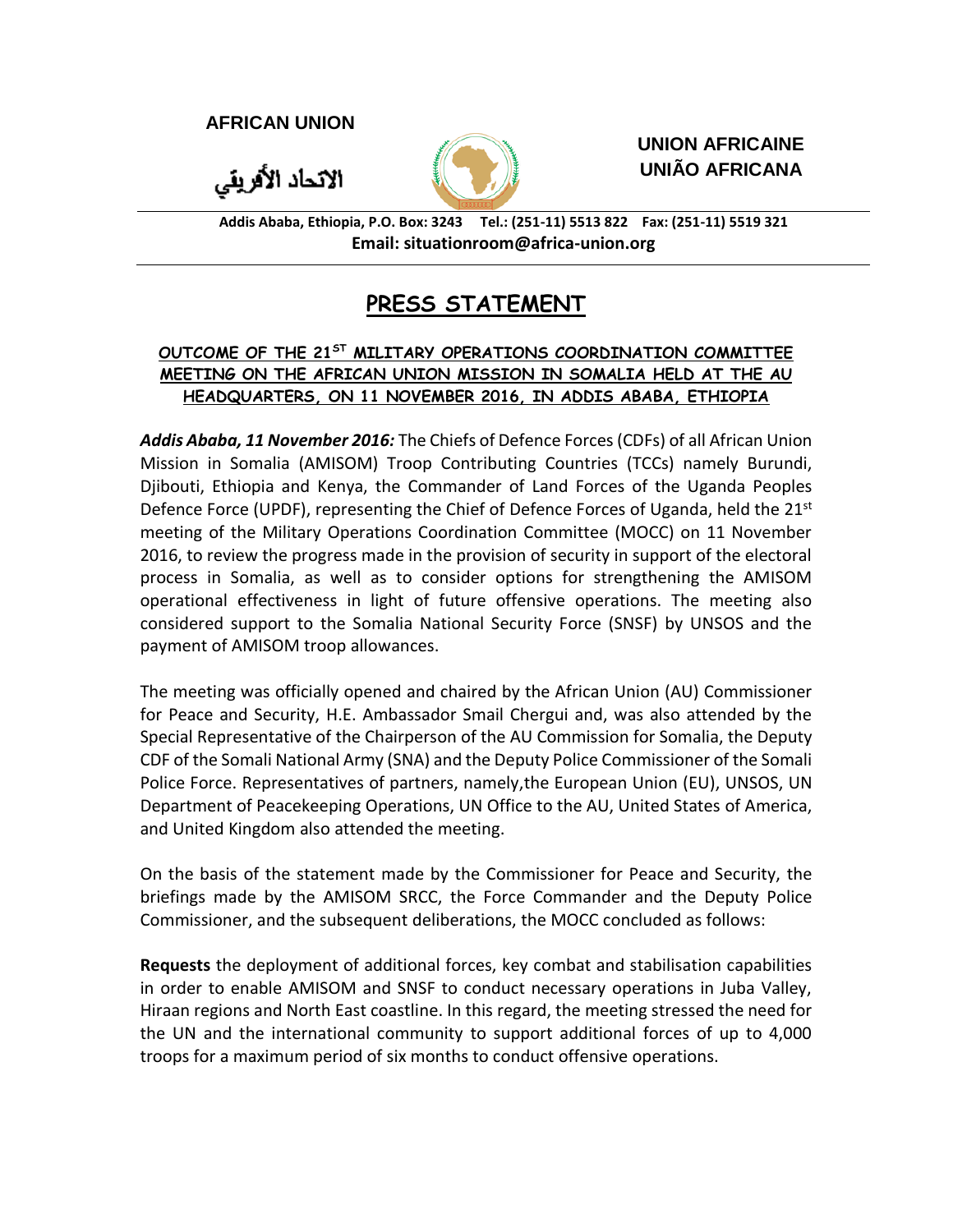**AFRICAN UNION**

الاتحاد الأفريقي



**UNION AFRICAINE UNIÃO AFRICANA**

**Addis Ababa, Ethiopia, P.O. Box: 3243 Tel.: (251-11) 5513 822 Fax: (251-11) 5519 321 Email: situationroom@africa-union.org**

## **PRESS STATEMENT**

## **OUTCOME OF THE 21ST MILITARY OPERATIONS COORDINATION COMMITTEE MEETING ON THE AFRICAN UNION MISSION IN SOMALIA HELD AT THE AU HEADQUARTERS, ON 11 NOVEMBER 2016, IN ADDIS ABABA, ETHIOPIA**

*Addis Ababa, 11 November 2016:* The Chiefs of Defence Forces (CDFs) of all African Union Mission in Somalia (AMISOM) Troop Contributing Countries (TCCs) namely Burundi, Djibouti, Ethiopia and Kenya, the Commander of Land Forces of the Uganda Peoples Defence Force (UPDF), representing the Chief of Defence Forces of Uganda, held the  $21^{st}$ meeting of the Military Operations Coordination Committee (MOCC) on 11 November 2016, to review the progress made in the provision of security in support of the electoral process in Somalia, as well as to consider options for strengthening the AMISOM operational effectiveness in light of future offensive operations. The meeting also considered support to the Somalia National Security Force (SNSF) by UNSOS and the payment of AMISOM troop allowances.

The meeting was officially opened and chaired by the African Union (AU) Commissioner for Peace and Security, H.E. Ambassador Smail Chergui and, was also attended by the Special Representative of the Chairperson of the AU Commission for Somalia, the Deputy CDF of the Somali National Army (SNA) and the Deputy Police Commissioner of the Somali Police Force. Representatives of partners, namely,the European Union (EU), UNSOS, UN Department of Peacekeeping Operations, UN Office to the AU, United States of America, and United Kingdom also attended the meeting.

On the basis of the statement made by the Commissioner for Peace and Security, the briefings made by the AMISOM SRCC, the Force Commander and the Deputy Police Commissioner, and the subsequent deliberations, the MOCC concluded as follows:

**Requests** the deployment of additional forces, key combat and stabilisation capabilities in order to enable AMISOM and SNSF to conduct necessary operations in Juba Valley, Hiraan regions and North East coastline. In this regard, the meeting stressed the need for the UN and the international community to support additional forces of up to 4,000 troops for a maximum period of six months to conduct offensive operations.